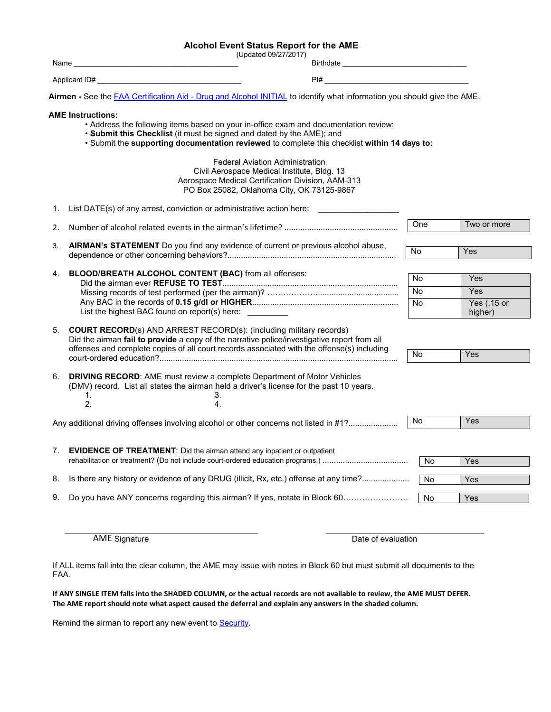## **Alcohol Event Status Report for the AME**

|      | (Updated 09/27/2017)                                                                                                                                                                                                                                                                      |                                                   |           |                        |
|------|-------------------------------------------------------------------------------------------------------------------------------------------------------------------------------------------------------------------------------------------------------------------------------------------|---------------------------------------------------|-----------|------------------------|
| Name |                                                                                                                                                                                                                                                                                           |                                                   |           |                        |
| PI#  |                                                                                                                                                                                                                                                                                           | <u> 1989 - Johann Barbara, martxa alemaniar a</u> |           |                        |
|      | Airmen - See the FAA Certification Aid - Drug and Alcohol INITIAL to identify what information you should give the AME.                                                                                                                                                                   |                                                   |           |                        |
|      | <b>AME Instructions:</b><br>• Address the following items based on your in-office exam and documentation review;<br>• Submit this Checklist (it must be signed and dated by the AME); and<br>. Submit the supporting documentation reviewed to complete this checklist within 14 days to: |                                                   |           |                        |
|      | <b>Federal Aviation Administration</b><br>Civil Aerospace Medical Institute, Bldg. 13<br>Aerospace Medical Certification Division, AAM-313<br>PO Box 25082, Oklahoma City, OK 73125-9867                                                                                                  |                                                   |           |                        |
| 1.   | List DATE(s) of any arrest, conviction or administrative action here:                                                                                                                                                                                                                     |                                                   |           |                        |
| 2.   |                                                                                                                                                                                                                                                                                           |                                                   | One       | Two or more            |
| 3.   | AIRMAN's STATEMENT Do you find any evidence of current or previous alcohol abuse,                                                                                                                                                                                                         |                                                   | No        | <b>Yes</b>             |
| 4.   | BLOOD/BREATH ALCOHOL CONTENT (BAC) from all offenses:                                                                                                                                                                                                                                     |                                                   | <b>No</b> | Yes                    |
|      |                                                                                                                                                                                                                                                                                           |                                                   | No        | Yes                    |
|      | List the highest BAC found on report(s) here:                                                                                                                                                                                                                                             |                                                   | <b>No</b> | Yes (.15 or<br>higher) |
| 5.   | <b>COURT RECORD(s) AND ARREST RECORD(s): (including military records)</b><br>Did the airman fail to provide a copy of the narrative police/investigative report from all<br>offenses and complete copies of all court records associated with the offense(s) including                    |                                                   |           |                        |
|      |                                                                                                                                                                                                                                                                                           |                                                   | No        | Yes                    |
| 6.   | <b>DRIVING RECORD:</b> AME must review a complete Department of Motor Vehicles<br>(DMV) record. List all states the airman held a driver's license for the past 10 years.<br>1.<br>3.<br>2.<br>4.                                                                                         |                                                   |           |                        |
|      | Any additional driving offenses involving alcohol or other concerns not listed in #1?                                                                                                                                                                                                     |                                                   | No        | Yes                    |
| 7.   | <b>EVIDENCE OF TREATMENT:</b> Did the airman attend any inpatient or outpatient                                                                                                                                                                                                           |                                                   | <b>No</b> | Yes                    |
| 8.   | Is there any history or evidence of any DRUG (illicit, Rx, etc.) offense at any time?                                                                                                                                                                                                     |                                                   | No        | Yes                    |
| 9.   | Do you have ANY concerns regarding this airman? If yes, notate in Block 60                                                                                                                                                                                                                |                                                   | No        | Yes                    |

AME Signature Date of evaluation

If ALL items fall into the clear column, the AME may issue with notes in Block 60 but must submit all documents to the FAA.

**If ANY SINGLE ITEM falls into the SHADED COLUMN, or the actual records are not available to review, the AME MUST DEFER. The AME report should note what aspect caused the deferral and explain any answers in the shaded column.**

Remind the airman to report any new event to **Security**.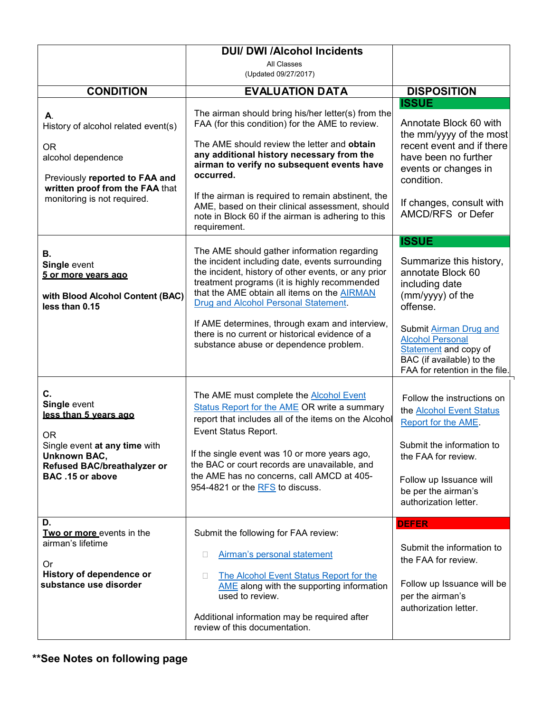| <b>DUI/ DWI /Alcohol Incidents</b>                                                                                                                                   |                                                                                                                                                                                                                                                                                                                                                                   |                                                                                                                                                                                                                     |  |  |  |
|----------------------------------------------------------------------------------------------------------------------------------------------------------------------|-------------------------------------------------------------------------------------------------------------------------------------------------------------------------------------------------------------------------------------------------------------------------------------------------------------------------------------------------------------------|---------------------------------------------------------------------------------------------------------------------------------------------------------------------------------------------------------------------|--|--|--|
|                                                                                                                                                                      | All Classes<br>(Updated 09/27/2017)                                                                                                                                                                                                                                                                                                                               |                                                                                                                                                                                                                     |  |  |  |
| <b>CONDITION</b>                                                                                                                                                     | <b>EVALUATION DATA</b>                                                                                                                                                                                                                                                                                                                                            | <b>DISPOSITION</b>                                                                                                                                                                                                  |  |  |  |
|                                                                                                                                                                      |                                                                                                                                                                                                                                                                                                                                                                   | <b>ISSUE</b>                                                                                                                                                                                                        |  |  |  |
| А.<br>History of alcohol related event(s)<br><b>OR</b><br>alcohol dependence<br>Previously reported to FAA and<br>written proof from the FAA that                    | The airman should bring his/her letter(s) from the<br>FAA (for this condition) for the AME to review.<br>The AME should review the letter and obtain<br>any additional history necessary from the<br>airman to verify no subsequent events have<br>occurred.                                                                                                      | Annotate Block 60 with<br>the mm/yyyy of the most<br>recent event and if there<br>have been no further<br>events or changes in<br>condition.                                                                        |  |  |  |
| monitoring is not required.                                                                                                                                          | If the airman is required to remain abstinent, the<br>AME, based on their clinical assessment, should<br>note in Block 60 if the airman is adhering to this<br>requirement.                                                                                                                                                                                       | If changes, consult with<br>AMCD/RFS or Defer                                                                                                                                                                       |  |  |  |
|                                                                                                                                                                      |                                                                                                                                                                                                                                                                                                                                                                   | <b>ISSUE</b>                                                                                                                                                                                                        |  |  |  |
| В.<br>Single event<br>5 or more vears ago<br>with Blood Alcohol Content (BAC)<br>less than 0.15                                                                      | The AME should gather information regarding<br>the incident including date, events surrounding<br>the incident, history of other events, or any prior<br>treatment programs (it is highly recommended<br>that the AME obtain all items on the AIRMAN<br>Drug and Alcohol Personal Statement.                                                                      | Summarize this history,<br>annotate Block 60<br>including date<br>(mm/yyyy) of the<br>offense.                                                                                                                      |  |  |  |
|                                                                                                                                                                      | If AME determines, through exam and interview,<br>there is no current or historical evidence of a<br>substance abuse or dependence problem.                                                                                                                                                                                                                       | Submit Airman Drug and<br><b>Alcohol Personal</b><br>Statement and copy of<br>BAC (if available) to the<br>FAA for retention in the file.                                                                           |  |  |  |
| C.<br>Single event<br>less than 5 years ago<br>OR.<br>Single event at any time with<br><b>Unknown BAC,</b><br><b>Refused BAC/breathalyzer or</b><br>BAC .15 or above | The AME must complete the <b>Alcohol Event</b><br>Status Report for the AME OR write a summary<br>report that includes all of the items on the Alcohol<br>Event Status Report.<br>If the single event was 10 or more years ago,<br>the BAC or court records are unavailable, and<br>the AME has no concerns, call AMCD at 405-<br>954-4821 or the RFS to discuss. | Follow the instructions on<br>the <b>Alcohol Event Status</b><br>Report for the AME.<br>Submit the information to<br>the FAA for review.<br>Follow up Issuance will<br>be per the airman's<br>authorization letter. |  |  |  |
| D.                                                                                                                                                                   |                                                                                                                                                                                                                                                                                                                                                                   | <b>DEFER</b>                                                                                                                                                                                                        |  |  |  |
| Two or more events in the<br>airman's lifetime<br>0r<br>History of dependence or<br>substance use disorder                                                           | Submit the following for FAA review:<br>Airman's personal statement<br>u<br>The Alcohol Event Status Report for the<br>П.<br>AME along with the supporting information<br>used to review.<br>Additional information may be required after<br>review of this documentation.                                                                                        | Submit the information to<br>the FAA for review.<br>Follow up Issuance will be<br>per the airman's<br>authorization letter.                                                                                         |  |  |  |